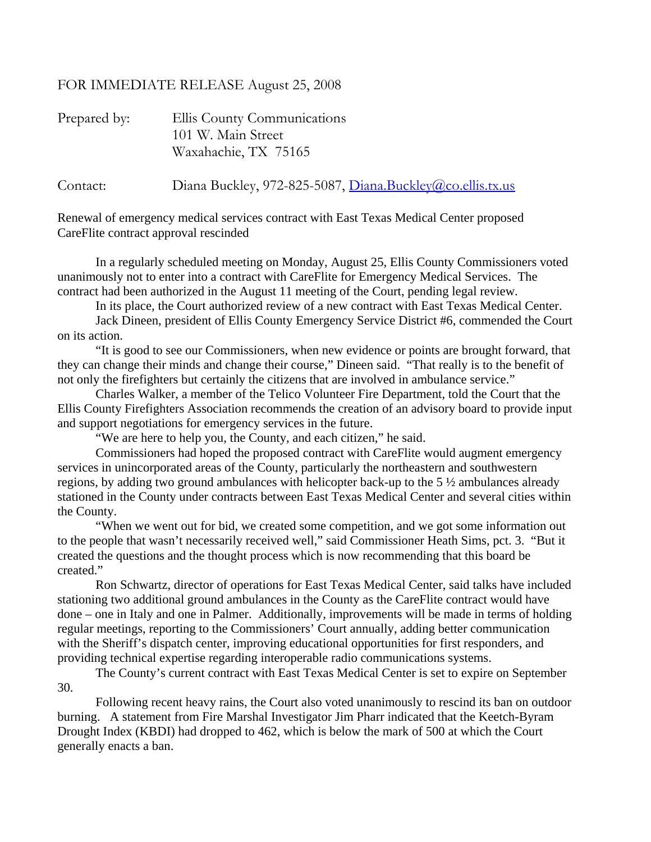## FOR IMMEDIATE RELEASE August 25, 2008

| Prepared by: | Ellis County Communications<br>101 W. Main Street                                 |
|--------------|-----------------------------------------------------------------------------------|
| Contact:     | Waxahachie, TX 75165<br>Diana Buckley, 972-825-5087, Diana.Buckley@co.ellis.tx.us |

Renewal of emergency medical services contract with East Texas Medical Center proposed CareFlite contract approval rescinded

 In a regularly scheduled meeting on Monday, August 25, Ellis County Commissioners voted unanimously not to enter into a contract with CareFlite for Emergency Medical Services. The contract had been authorized in the August 11 meeting of the Court, pending legal review.

In its place, the Court authorized review of a new contract with East Texas Medical Center.

 Jack Dineen, president of Ellis County Emergency Service District #6, commended the Court on its action.

 "It is good to see our Commissioners, when new evidence or points are brought forward, that they can change their minds and change their course," Dineen said. "That really is to the benefit of not only the firefighters but certainly the citizens that are involved in ambulance service."

 Charles Walker, a member of the Telico Volunteer Fire Department, told the Court that the Ellis County Firefighters Association recommends the creation of an advisory board to provide input and support negotiations for emergency services in the future.

"We are here to help you, the County, and each citizen," he said.

 Commissioners had hoped the proposed contract with CareFlite would augment emergency services in unincorporated areas of the County, particularly the northeastern and southwestern regions, by adding two ground ambulances with helicopter back-up to the 5 ½ ambulances already stationed in the County under contracts between East Texas Medical Center and several cities within the County.

 "When we went out for bid, we created some competition, and we got some information out to the people that wasn't necessarily received well," said Commissioner Heath Sims, pct. 3. "But it created the questions and the thought process which is now recommending that this board be created."

 Ron Schwartz, director of operations for East Texas Medical Center, said talks have included stationing two additional ground ambulances in the County as the CareFlite contract would have done – one in Italy and one in Palmer. Additionally, improvements will be made in terms of holding regular meetings, reporting to the Commissioners' Court annually, adding better communication with the Sheriff's dispatch center, improving educational opportunities for first responders, and providing technical expertise regarding interoperable radio communications systems.

 The County's current contract with East Texas Medical Center is set to expire on September 30.

 Following recent heavy rains, the Court also voted unanimously to rescind its ban on outdoor burning. A statement from Fire Marshal Investigator Jim Pharr indicated that the Keetch-Byram Drought Index (KBDI) had dropped to 462, which is below the mark of 500 at which the Court generally enacts a ban.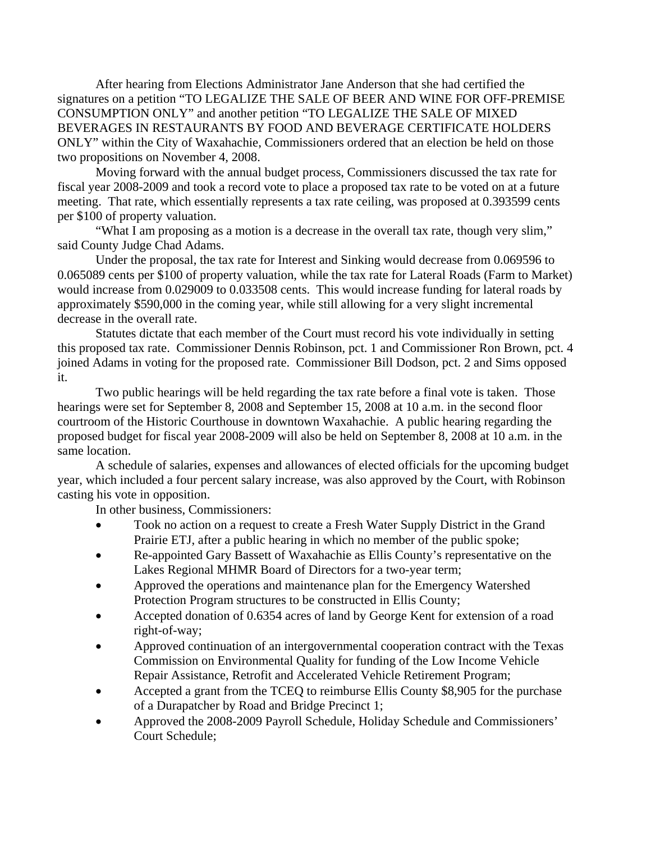After hearing from Elections Administrator Jane Anderson that she had certified the signatures on a petition "TO LEGALIZE THE SALE OF BEER AND WINE FOR OFF-PREMISE CONSUMPTION ONLY" and another petition "TO LEGALIZE THE SALE OF MIXED BEVERAGES IN RESTAURANTS BY FOOD AND BEVERAGE CERTIFICATE HOLDERS ONLY" within the City of Waxahachie, Commissioners ordered that an election be held on those two propositions on November 4, 2008.

 Moving forward with the annual budget process, Commissioners discussed the tax rate for fiscal year 2008-2009 and took a record vote to place a proposed tax rate to be voted on at a future meeting. That rate, which essentially represents a tax rate ceiling, was proposed at 0.393599 cents per \$100 of property valuation.

 "What I am proposing as a motion is a decrease in the overall tax rate, though very slim," said County Judge Chad Adams.

 Under the proposal, the tax rate for Interest and Sinking would decrease from 0.069596 to 0.065089 cents per \$100 of property valuation, while the tax rate for Lateral Roads (Farm to Market) would increase from 0.029009 to 0.033508 cents. This would increase funding for lateral roads by approximately \$590,000 in the coming year, while still allowing for a very slight incremental decrease in the overall rate.

 Statutes dictate that each member of the Court must record his vote individually in setting this proposed tax rate. Commissioner Dennis Robinson, pct. 1 and Commissioner Ron Brown, pct. 4 joined Adams in voting for the proposed rate. Commissioner Bill Dodson, pct. 2 and Sims opposed it.

 Two public hearings will be held regarding the tax rate before a final vote is taken. Those hearings were set for September 8, 2008 and September 15, 2008 at 10 a.m. in the second floor courtroom of the Historic Courthouse in downtown Waxahachie. A public hearing regarding the proposed budget for fiscal year 2008-2009 will also be held on September 8, 2008 at 10 a.m. in the same location.

 A schedule of salaries, expenses and allowances of elected officials for the upcoming budget year, which included a four percent salary increase, was also approved by the Court, with Robinson casting his vote in opposition.

In other business, Commissioners:

- Took no action on a request to create a Fresh Water Supply District in the Grand Prairie ETJ, after a public hearing in which no member of the public spoke;
- Re-appointed Gary Bassett of Waxahachie as Ellis County's representative on the Lakes Regional MHMR Board of Directors for a two-year term;
- Approved the operations and maintenance plan for the Emergency Watershed Protection Program structures to be constructed in Ellis County;
- Accepted donation of 0.6354 acres of land by George Kent for extension of a road right-of-way;
- Approved continuation of an intergovernmental cooperation contract with the Texas Commission on Environmental Quality for funding of the Low Income Vehicle Repair Assistance, Retrofit and Accelerated Vehicle Retirement Program;
- Accepted a grant from the TCEQ to reimburse Ellis County \$8,905 for the purchase of a Durapatcher by Road and Bridge Precinct 1;
- Approved the 2008-2009 Payroll Schedule, Holiday Schedule and Commissioners' Court Schedule;